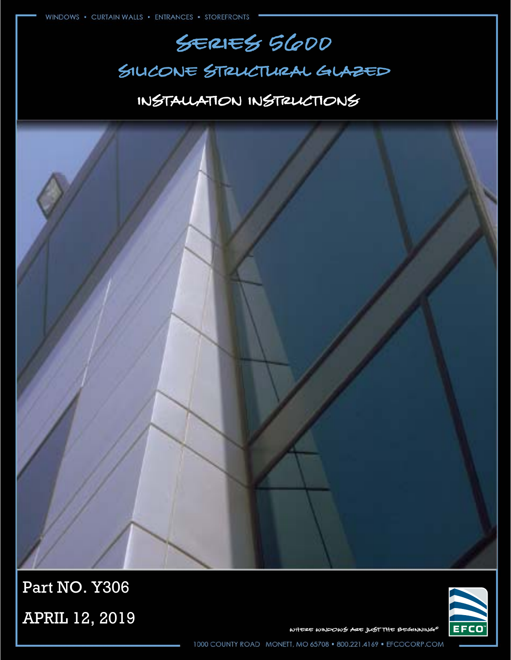# Series 5600

### Silicone structural glazed

### Installation Instructions



**EFCO** 

Part NO. Y306

APRIL 12, 2019

WHERE WINDOWS ARE JUST THE BEGINNING®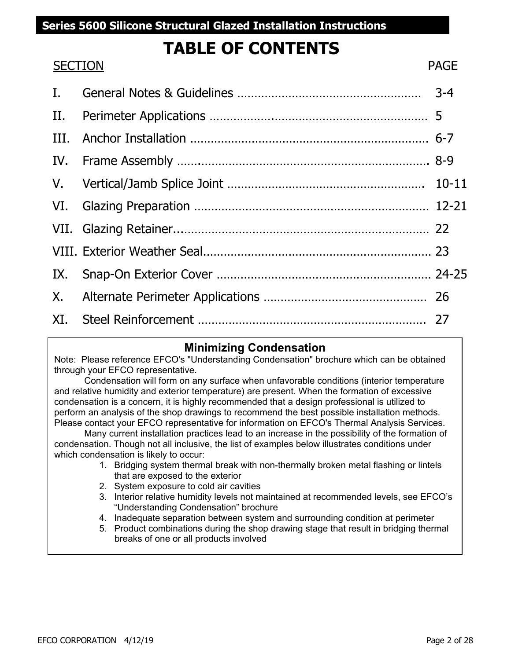#### **Series 5600 Silicone Structural Glazed Installation Instructions**

## **TABLE OF CONTENTS**

| <b>SECTION</b> | <b>PAGE</b> |
|----------------|-------------|
| T.             |             |
| Н.             |             |
| HH.            |             |
|                |             |
| V.             |             |
| VI.            |             |
|                |             |
|                |             |
| IX.            |             |
| Х.             |             |
| XT.            |             |

#### **Minimizing Condensation**

Note: Please reference EFCO's "Understanding Condensation" brochure which can be obtained through your EFCO representative.

 Condensation will form on any surface when unfavorable conditions (interior temperature and relative humidity and exterior temperature) are present. When the formation of excessive condensation is a concern, it is highly recommended that a design professional is utilized to perform an analysis of the shop drawings to recommend the best possible installation methods. Please contact your EFCO representative for information on EFCO's Thermal Analysis Services.

 Many current installation practices lead to an increase in the possibility of the formation of condensation. Though not all inclusive, the list of examples below illustrates conditions under which condensation is likely to occur:

- 1. Bridging system thermal break with non-thermally broken metal flashing or lintels that are exposed to the exterior
- 2. System exposure to cold air cavities
- 3. Interior relative humidity levels not maintained at recommended levels, see EFCO's "Understanding Condensation" brochure
- 4. Inadequate separation between system and surrounding condition at perimeter
- 5. Product combinations during the shop drawing stage that result in bridging thermal breaks of one or all products involved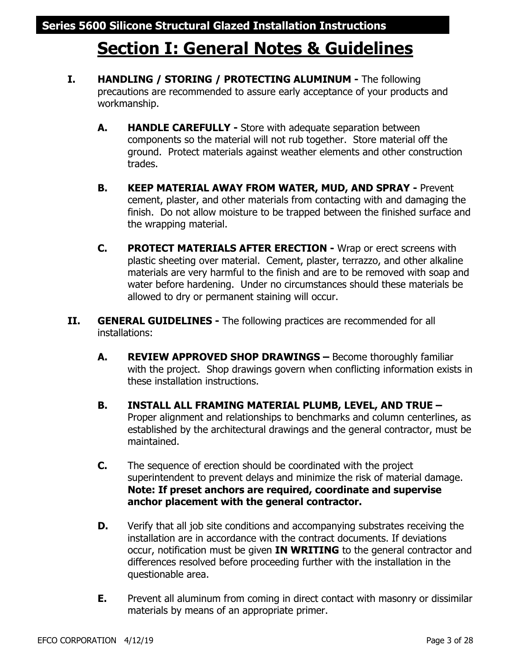### **Section I: General Notes & Guidelines**

- **I. HANDLING / STORING / PROTECTING ALUMINUM The following** precautions are recommended to assure early acceptance of your products and workmanship.
	- **A. HANDLE CAREFULLY** Store with adequate separation between components so the material will not rub together. Store material off the ground. Protect materials against weather elements and other construction trades.
	- **B. KEEP MATERIAL AWAY FROM WATER, MUD, AND SPRAY** Prevent cement, plaster, and other materials from contacting with and damaging the finish. Do not allow moisture to be trapped between the finished surface and the wrapping material.
	- **C. PROTECT MATERIALS AFTER ERECTION** Wrap or erect screens with plastic sheeting over material. Cement, plaster, terrazzo, and other alkaline materials are very harmful to the finish and are to be removed with soap and water before hardening. Under no circumstances should these materials be allowed to dry or permanent staining will occur.
- **II.** GENERAL GUIDELINES The following practices are recommended for all installations:
	- **A. REVIEW APPROVED SHOP DRAWINGS** Become thoroughly familiar with the project. Shop drawings govern when conflicting information exists in these installation instructions.
	- **B. INSTALL ALL FRAMING MATERIAL PLUMB, LEVEL, AND TRUE**  Proper alignment and relationships to benchmarks and column centerlines, as established by the architectural drawings and the general contractor, must be maintained.
	- **C.** The sequence of erection should be coordinated with the project superintendent to prevent delays and minimize the risk of material damage. **Note: If preset anchors are required, coordinate and supervise anchor placement with the general contractor.**
	- **D.** Verify that all job site conditions and accompanying substrates receiving the installation are in accordance with the contract documents. If deviations occur, notification must be given **IN WRITING** to the general contractor and differences resolved before proceeding further with the installation in the questionable area.
	- **E.** Prevent all aluminum from coming in direct contact with masonry or dissimilar materials by means of an appropriate primer.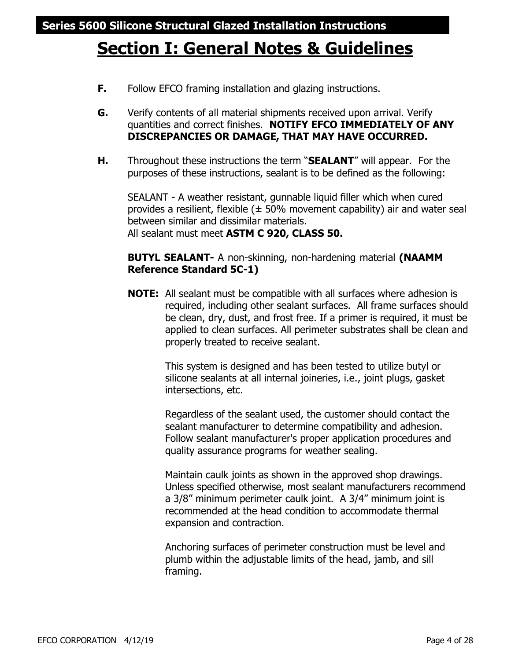### **Section I: General Notes & Guidelines**

- **F.** Follow EFCO framing installation and glazing instructions.
- **G.** Verify contents of all material shipments received upon arrival. Verify quantities and correct finishes. **NOTIFY EFCO IMMEDIATELY OF ANY DISCREPANCIES OR DAMAGE, THAT MAY HAVE OCCURRED.**
- **H.** Throughout these instructions the term "**SEALANT**" will appear. For the purposes of these instructions, sealant is to be defined as the following:

SEALANT - A weather resistant, gunnable liquid filler which when cured provides a resilient, flexible  $(± 50\%$  movement capability) air and water seal between similar and dissimilar materials. All sealant must meet **ASTM C 920, CLASS 50.** 

#### **BUTYL SEALANT-** A non-skinning, non-hardening material **(NAAMM Reference Standard 5C-1)**

**NOTE:** All sealant must be compatible with all surfaces where adhesion is required, including other sealant surfaces. All frame surfaces should be clean, dry, dust, and frost free. If a primer is required, it must be applied to clean surfaces. All perimeter substrates shall be clean and properly treated to receive sealant.

> This system is designed and has been tested to utilize butyl or silicone sealants at all internal joineries, i.e., joint plugs, gasket intersections, etc.

Regardless of the sealant used, the customer should contact the sealant manufacturer to determine compatibility and adhesion. Follow sealant manufacturer's proper application procedures and quality assurance programs for weather sealing.

Maintain caulk joints as shown in the approved shop drawings. Unless specified otherwise, most sealant manufacturers recommend a 3/8" minimum perimeter caulk joint. A 3/4" minimum joint is recommended at the head condition to accommodate thermal expansion and contraction.

Anchoring surfaces of perimeter construction must be level and plumb within the adjustable limits of the head, jamb, and sill framing.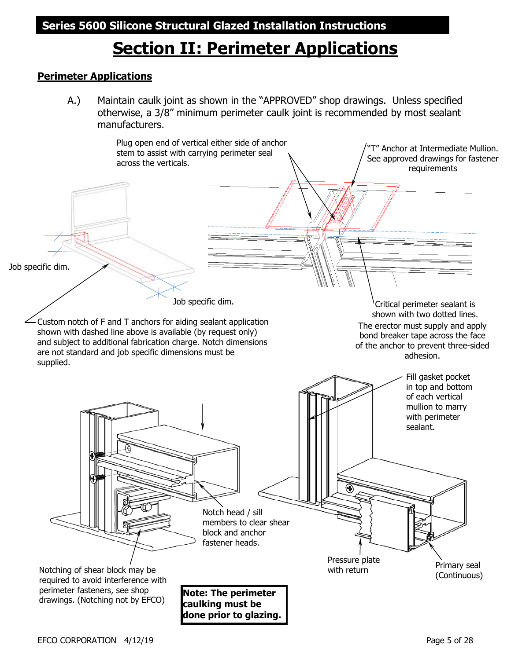### **Section II: Perimeter Applications**

#### **Perimeter Applications**

A.) Maintain caulk joint as shown in the "APPROVED" shop drawings. Unless specified otherwise, a 3/8" minimum perimeter caulk joint is recommended by most sealant manufacturers.

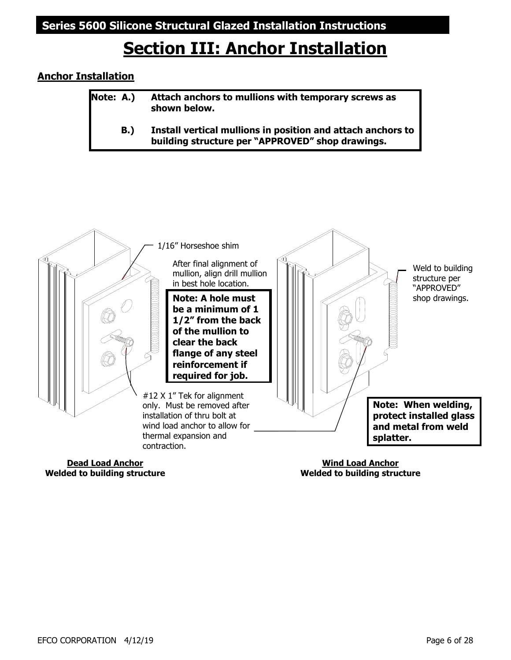### **Section III: Anchor Installation**

#### **Anchor Installation**

| Note: A.)   | Attach anchors to mullions with temporary screws as<br>shown below.                                             |
|-------------|-----------------------------------------------------------------------------------------------------------------|
| <b>B.</b> ) | Install vertical mullions in position and attach anchors to<br>building structure per "APPROVED" shop drawings. |



**Dead Load Anchor Welded to building structure** 

**Wind Load Anchor Welded to building structure**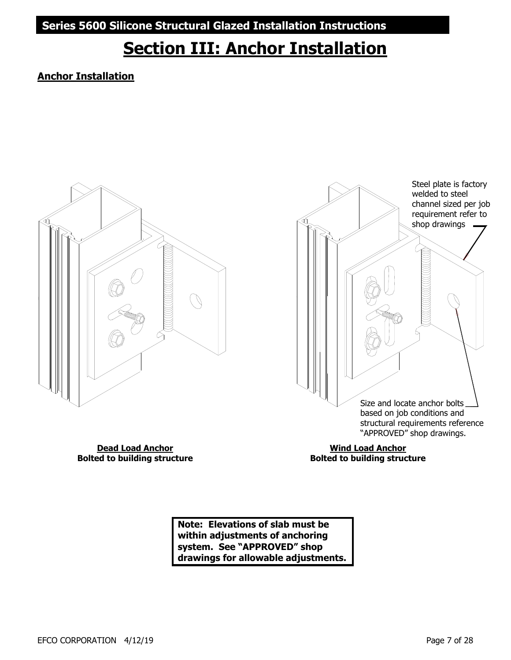**Series 5600 Silicone Structural Glazed Installation Instructions** 

### **Section III: Anchor Installation**

#### **Anchor Installation**





**Dead Load Anchor Bolted to building structure** 

**Wind Load Anchor Bolted to building structure**

**Note: Elevations of slab must be within adjustments of anchoring system. See "APPROVED" shop drawings for allowable adjustments.**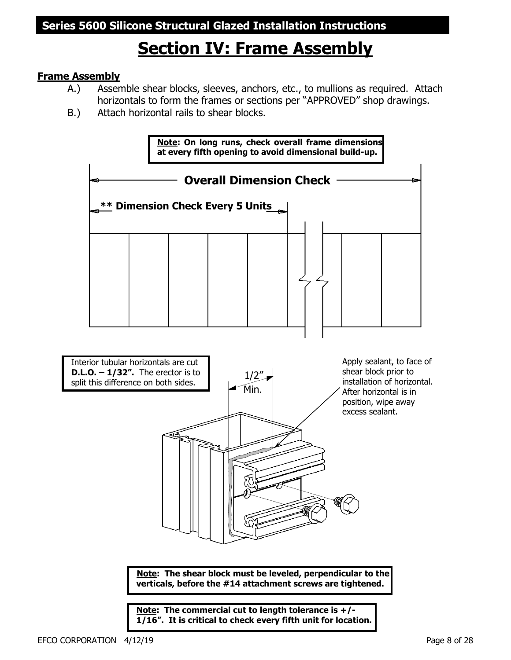### **Section IV: Frame Assembly**

#### **Frame Assembly**

- A.) Assemble shear blocks, sleeves, anchors, etc., to mullions as required. Attach horizontals to form the frames or sections per "APPROVED" shop drawings.
- B.) Attach horizontal rails to shear blocks.

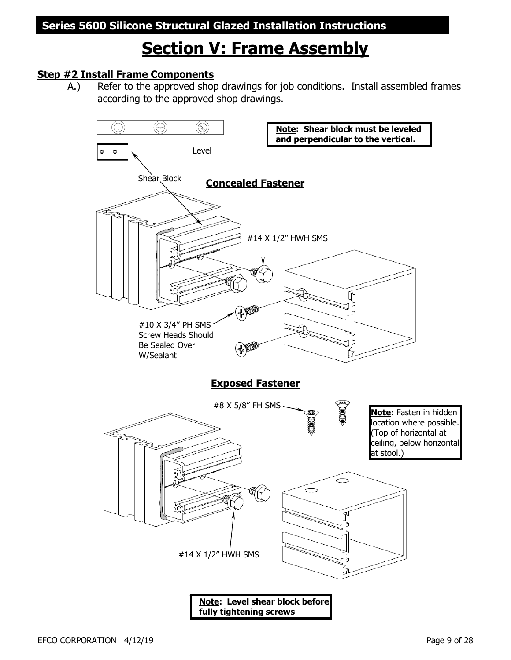### **Section V: Frame Assembly**

#### **Step #2 Install Frame Components**

A.) Refer to the approved shop drawings for job conditions. Install assembled frames according to the approved shop drawings.

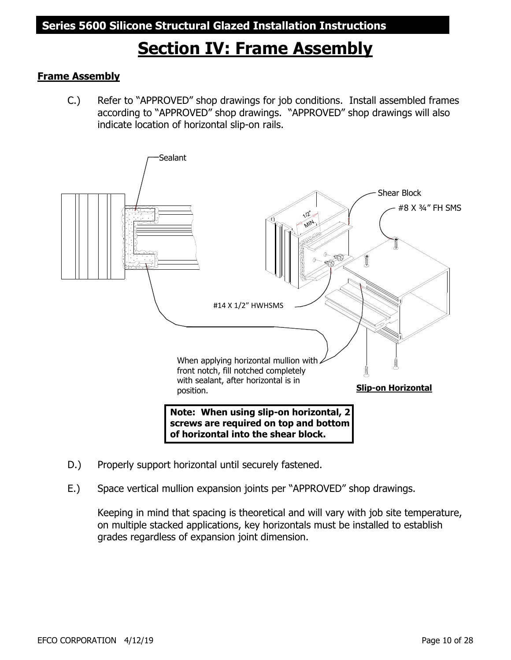### **Section IV: Frame Assembly**

#### **Frame Assembly**

C.) Refer to "APPROVED" shop drawings for job conditions. Install assembled frames according to "APPROVED" shop drawings. "APPROVED" shop drawings will also indicate location of horizontal slip-on rails.



- D.) Properly support horizontal until securely fastened.
- E.) Space vertical mullion expansion joints per "APPROVED" shop drawings.

Keeping in mind that spacing is theoretical and will vary with job site temperature, on multiple stacked applications, key horizontals must be installed to establish grades regardless of expansion joint dimension.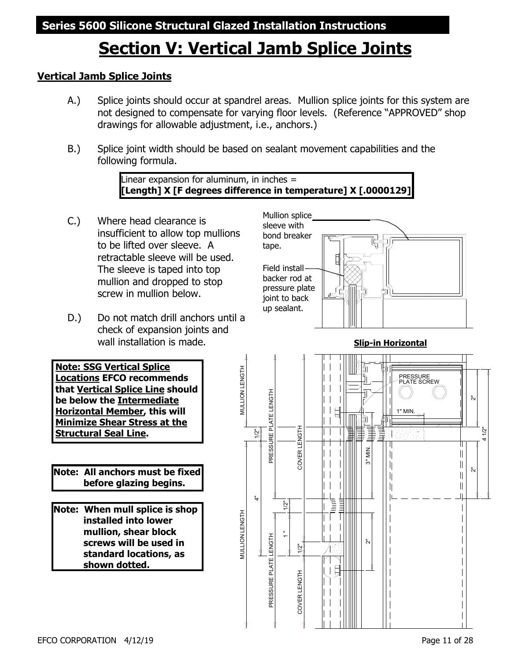### **Section V: Vertical Jamb Splice Joints**

#### **Vertical Jamb Splice Joints**

- A.) Splice joints should occur at spandrel areas. Mullion splice joints for this system are not designed to compensate for varying floor levels. (Reference "APPROVED" shop drawings for allowable adjustment, i.e., anchors.)
- B.) Splice joint width should be based on sealant movement capabilities and the following formula.

Linear expansion for aluminum, in inches = **[Length] X [F degrees difference in temperature] X [.0000129]**

- C.) Where head clearance is insufficient to allow top mullions to be lifted over sleeve. A retractable sleeve will be used. The sleeve is taped into top mullion and dropped to stop screw in mullion below.
- D.) Do not match drill anchors until a check of expansion joints and wall installation is made.





**Note: All anchors must be fixed before glazing begins.** 

**Note: When mull splice is shop installed into lower mullion, shear block screws will be used in standard locations, as shown dotted.** 

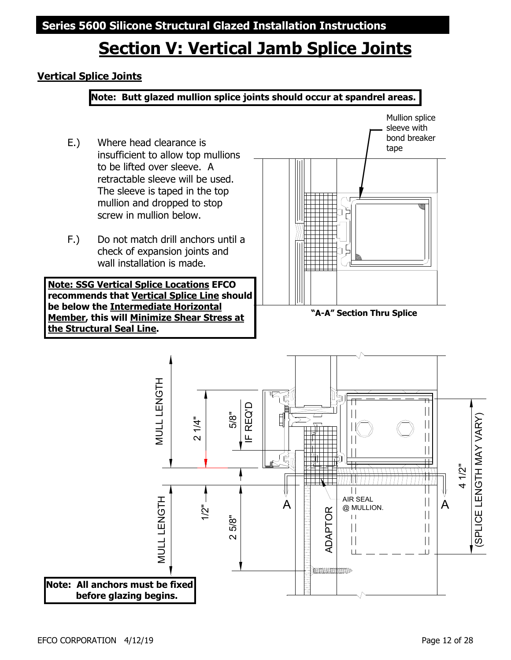### **Section V: Vertical Jamb Splice Joints**

#### **Vertical Splice Joints**



- E.) Where head clearance is insufficient to allow top mullions to be lifted over sleeve. A retractable sleeve will be used. The sleeve is taped in the top mullion and dropped to stop screw in mullion below.
- F.) Do not match drill anchors until a check of expansion joints and wall installation is made.

**Note: SSG Vertical Splice Locations EFCO recommends that Vertical Splice Line should be below the Intermediate Horizontal Member, this will Minimize Shear Stress at the Structural Seal Line.** 



**"A-A" Section Thru Splice**

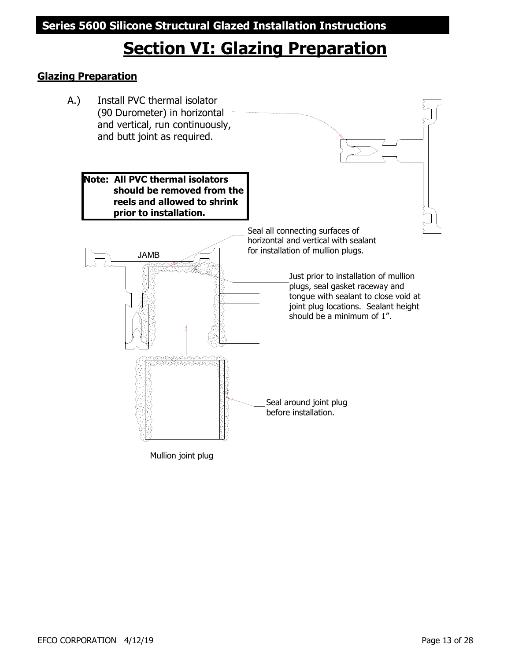#### **Glazing Preparation**



Mullion joint plug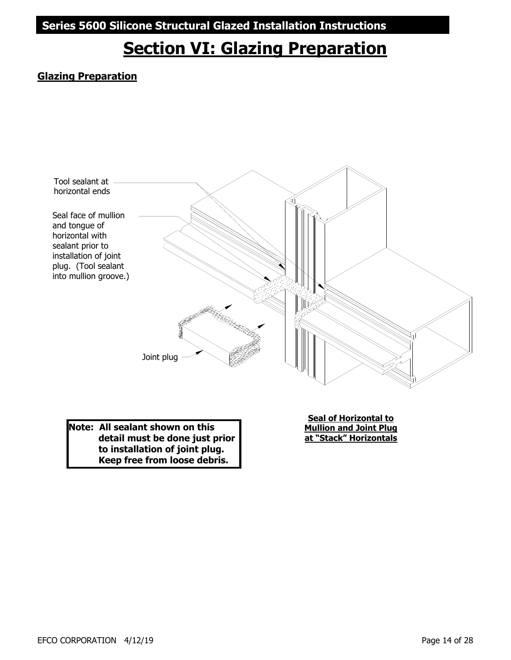#### **Glazing Preparation**



**Note: All sealant shown on this detail must be done just prior to installation of joint plug. Keep free from loose debris.** 

**Seal of Horizontal to Mullion and Joint Plug at "Stack" Horizontals**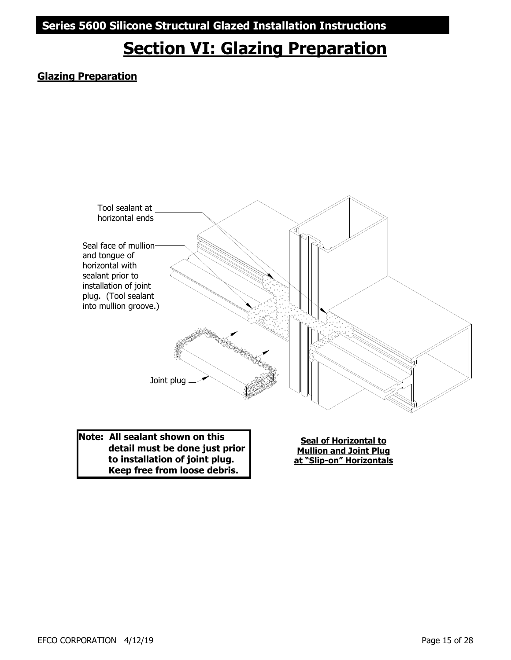**Series 5600 Silicone Structural Glazed Installation Instructions** 

### **Section VI: Glazing Preparation**

#### **Glazing Preparation**



**to installation of joint plug. Keep free from loose debris.**  **at "Slip-on" Horizontals**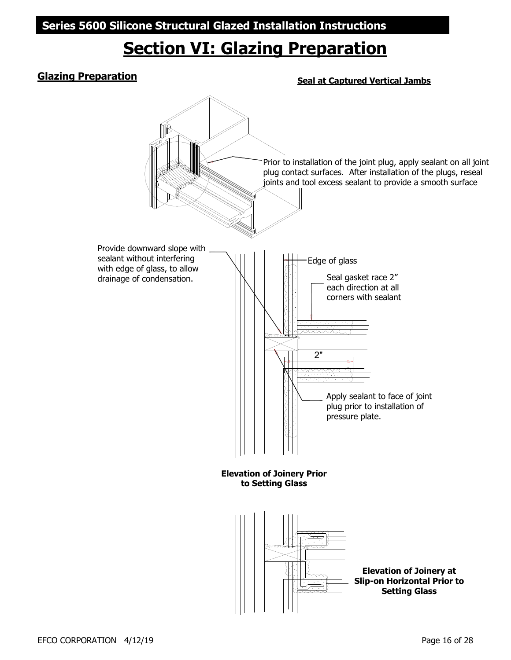#### **Glazing Preparation**

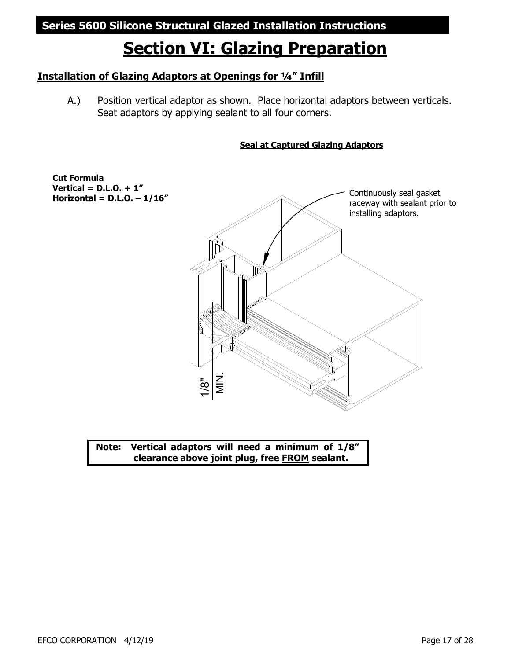#### **Installation of Glazing Adaptors at Openings for ¼" Infill**

A.) Position vertical adaptor as shown. Place horizontal adaptors between verticals. Seat adaptors by applying sealant to all four corners.

#### **Seal at Captured Glazing Adaptors**



**Note: Vertical adaptors will need a minimum of 1/8" clearance above joint plug, free FROM sealant.**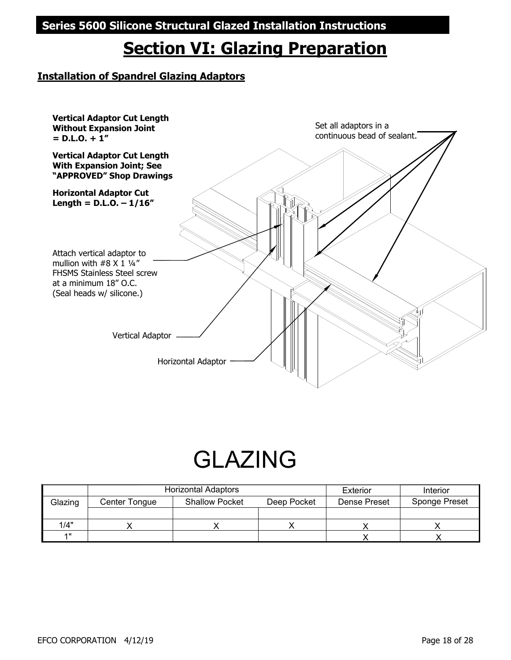#### **Installation of Spandrel Glazing Adaptors**



# GLAZING

|         |               | <b>Horizontal Adaptors</b> | Exterior    | Interior     |               |
|---------|---------------|----------------------------|-------------|--------------|---------------|
| Glazing | Center Tongue | <b>Shallow Pocket</b>      | Deep Pocket | Dense Preset | Sponge Preset |
|         |               |                            |             |              |               |
| 1/4"    |               |                            |             |              |               |
| 4 H     |               |                            |             |              |               |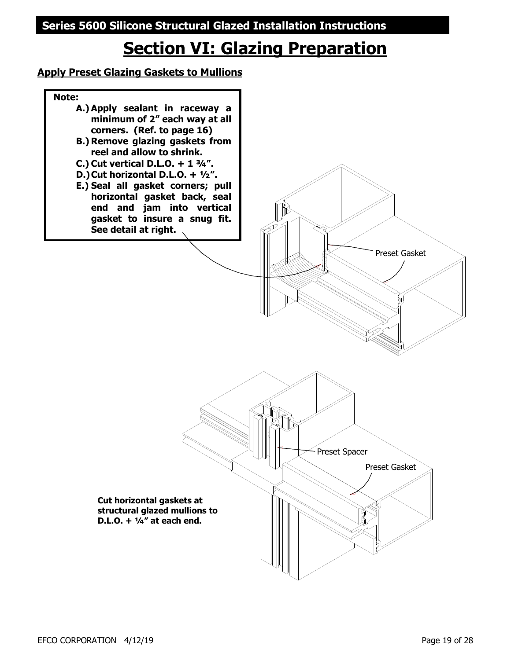#### **Apply Preset Glazing Gaskets to Mullions**

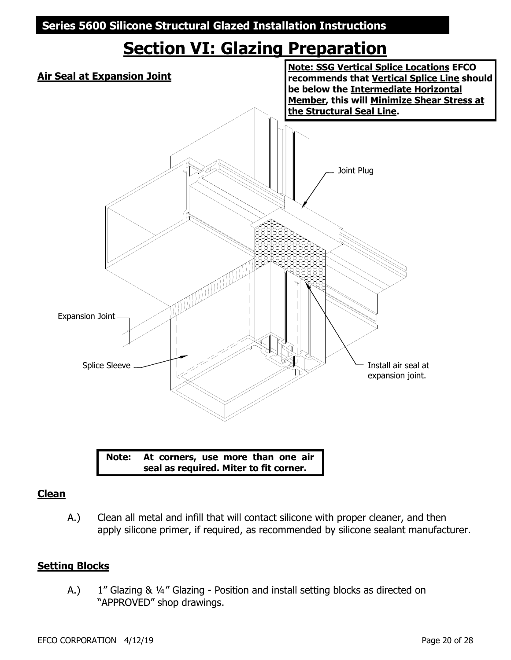

### **seal as required. Miter to fit corner.**

#### **Clean**

A.) Clean all metal and infill that will contact silicone with proper cleaner, and then apply silicone primer, if required, as recommended by silicone sealant manufacturer.

#### **Setting Blocks**

A.) 1" Glazing & 1/4" Glazing - Position and install setting blocks as directed on "APPROVED" shop drawings.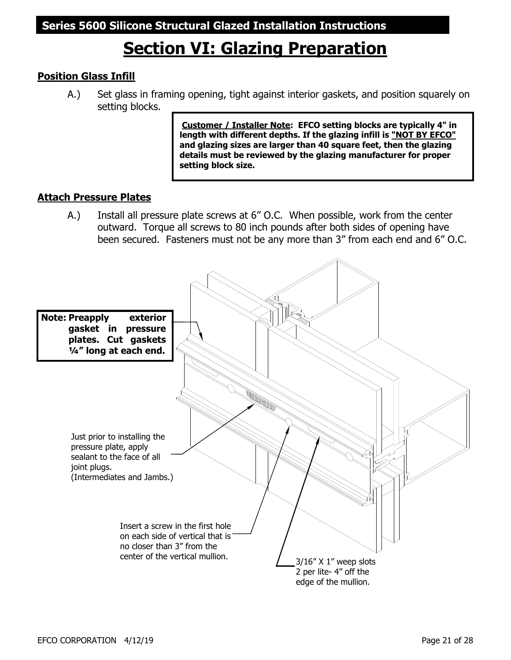#### **Position Glass Infill**

A.) Set glass in framing opening, tight against interior gaskets, and position squarely on setting blocks.

> **Customer / Installer Note: EFCO setting blocks are typically 4" in length with different depths. If the glazing infill is "NOT BY EFCO" and glazing sizes are larger than 40 square feet, then the glazing details must be reviewed by the glazing manufacturer for proper setting block size.**

#### **Attach Pressure Plates**

A.) Install all pressure plate screws at 6" O.C. When possible, work from the center outward. Torque all screws to 80 inch pounds after both sides of opening have been secured. Fasteners must not be any more than 3" from each end and 6" O.C.

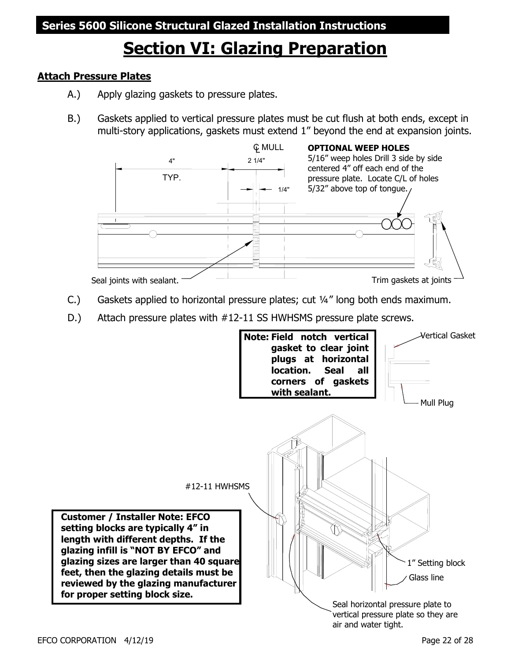#### **Attach Pressure Plates**

- A.) Apply glazing gaskets to pressure plates.
- B.) Gaskets applied to vertical pressure plates must be cut flush at both ends, except in multi-story applications, gaskets must extend 1" beyond the end at expansion joints.



- C.) Gaskets applied to horizontal pressure plates; cut ¼" long both ends maximum.
- D.) Attach pressure plates with #12-11 SS HWHSMS pressure plate screws.

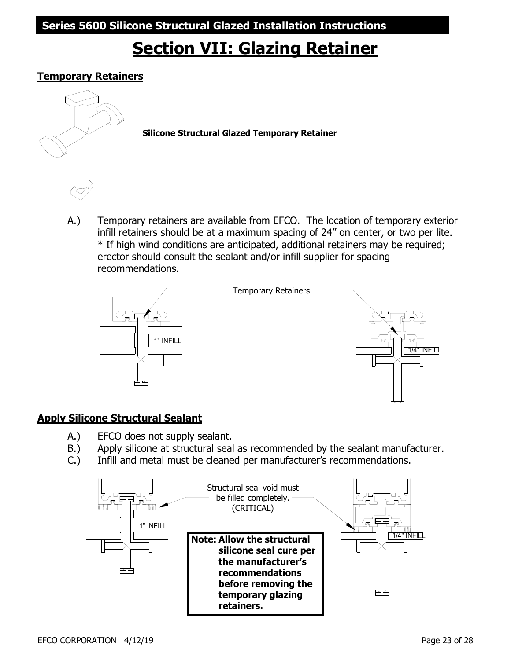### **Section VII: Glazing Retainer**

#### **Temporary Retainers**



**Silicone Structural Glazed Temporary Retainer**

A.) Temporary retainers are available from EFCO. The location of temporary exterior infill retainers should be at a maximum spacing of 24" on center, or two per lite. \* If high wind conditions are anticipated, additional retainers may be required; erector should consult the sealant and/or infill supplier for spacing recommendations.



#### **Apply Silicone Structural Sealant**

- A.) EFCO does not supply sealant.
- B.) Apply silicone at structural seal as recommended by the sealant manufacturer.
- C.) Infill and metal must be cleaned per manufacturer's recommendations.

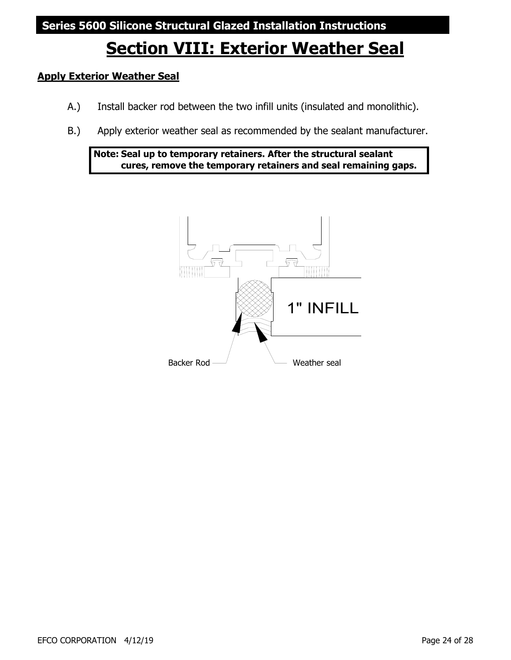### **Section VIII: Exterior Weather Seal**

#### **Apply Exterior Weather Seal**

- A.) Install backer rod between the two infill units (insulated and monolithic).
- B.) Apply exterior weather seal as recommended by the sealant manufacturer.

**Note: Seal up to temporary retainers. After the structural sealant cures, remove the temporary retainers and seal remaining gaps.** 

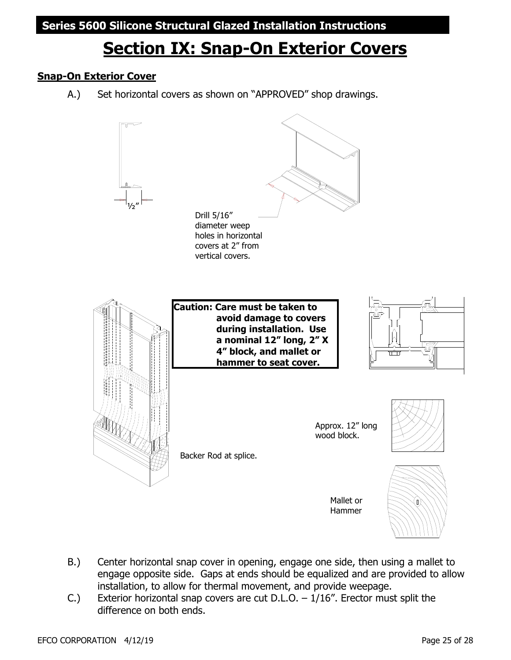### **Series 5600 Silicone Structural Glazed Installation Instructions**

### **Section IX: Snap-On Exterior Covers**

#### **Snap-On Exterior Cover**

A.) Set horizontal covers as shown on "APPROVED" shop drawings.



- B.) Center horizontal snap cover in opening, engage one side, then using a mallet to engage opposite side. Gaps at ends should be equalized and are provided to allow installation, to allow for thermal movement, and provide weepage.
- C.) Exterior horizontal snap covers are cut D.L.O.  $-1/16$ ". Erector must split the difference on both ends.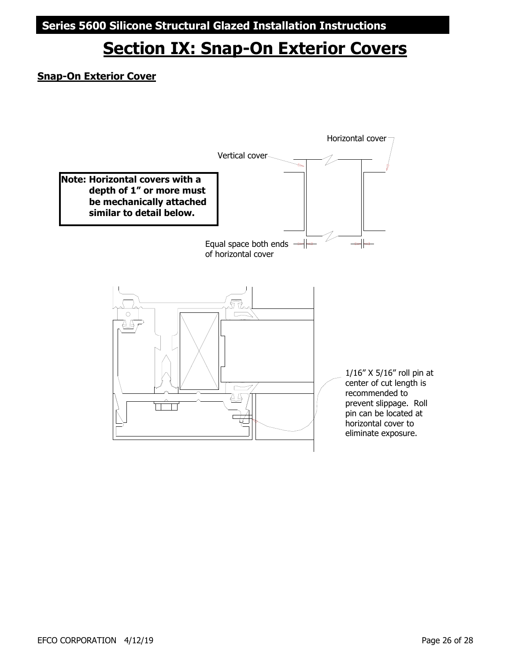### **Section IX: Snap-On Exterior Covers**

#### **Snap-On Exterior Cover**

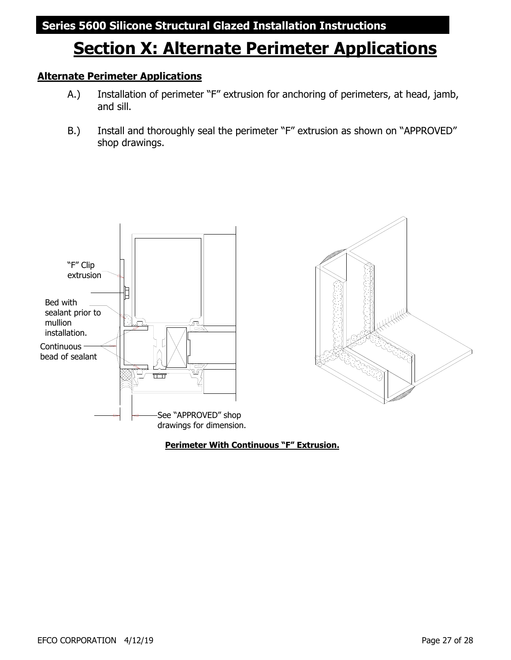### **Section X: Alternate Perimeter Applications**

#### **Alternate Perimeter Applications**

- A.) Installation of perimeter "F" extrusion for anchoring of perimeters, at head, jamb, and sill.
- B.) Install and thoroughly seal the perimeter "F" extrusion as shown on "APPROVED" shop drawings.





**Perimeter With Continuous "F" Extrusion.**